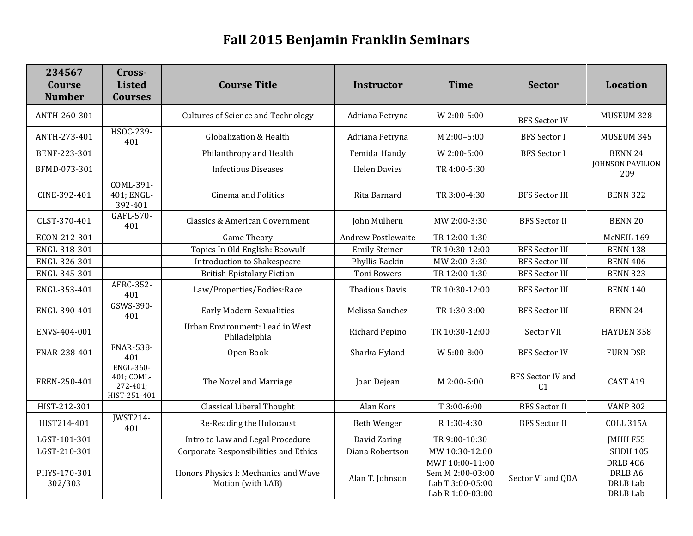## **Fall 2015 Benjamin Franklin Seminars**

| 234567<br>Course<br><b>Number</b> | Cross-<br><b>Listed</b><br><b>Courses</b>                  | <b>Course Title</b>                                       | <b>Instructor</b>         | <b>Time</b>                                                                 | <b>Sector</b>                              | Location                                                      |
|-----------------------------------|------------------------------------------------------------|-----------------------------------------------------------|---------------------------|-----------------------------------------------------------------------------|--------------------------------------------|---------------------------------------------------------------|
| ANTH-260-301                      |                                                            | <b>Cultures of Science and Technology</b>                 | Adriana Petryna           | W 2:00-5:00                                                                 | <b>BFS Sector IV</b>                       | MUSEUM 328                                                    |
| ANTH-273-401                      | HSOC-239-<br>401                                           | Globalization & Health                                    | Adriana Petryna           | M 2:00-5:00                                                                 | <b>BFS</b> Sector I                        | MUSEUM 345                                                    |
| BENF-223-301                      |                                                            | Philanthropy and Health                                   | Femida Handy              | W 2:00-5:00                                                                 | <b>BFS</b> Sector I                        | <b>BENN 24</b>                                                |
| BFMD-073-301                      |                                                            | <b>Infectious Diseases</b>                                | <b>Helen Davies</b>       | TR 4:00-5:30                                                                |                                            | <b>JOHNSON PAVILION</b><br>209                                |
| CINE-392-401                      | COML-391-<br>401; ENGL-<br>392-401                         | <b>Cinema and Politics</b>                                | Rita Barnard              | TR 3:00-4:30                                                                | <b>BFS Sector III</b>                      | <b>BENN 322</b>                                               |
| CLST-370-401                      | GAFL-570-<br>401                                           | Classics & American Government                            | John Mulhern              | MW 2:00-3:30                                                                | <b>BFS</b> Sector II                       | <b>BENN 20</b>                                                |
| ECON-212-301                      |                                                            | <b>Game Theory</b>                                        | <b>Andrew Postlewaite</b> | TR 12:00-1:30                                                               |                                            | McNEIL 169                                                    |
| ENGL-318-301                      |                                                            | Topics In Old English: Beowulf                            | <b>Emily Steiner</b>      | TR 10:30-12:00                                                              | <b>BFS</b> Sector III                      | <b>BENN 138</b>                                               |
| ENGL-326-301                      |                                                            | Introduction to Shakespeare                               | Phyllis Rackin            | MW 2:00-3:30                                                                | <b>BFS Sector III</b>                      | <b>BENN 406</b>                                               |
| ENGL-345-301                      |                                                            | <b>British Epistolary Fiction</b>                         | <b>Toni Bowers</b>        | TR 12:00-1:30                                                               | <b>BFS Sector III</b>                      | <b>BENN 323</b>                                               |
| ENGL-353-401                      | AFRC-352-<br>401                                           | Law/Properties/Bodies:Race                                | <b>Thadious Davis</b>     | TR 10:30-12:00                                                              | <b>BFS Sector III</b>                      | <b>BENN 140</b>                                               |
| ENGL-390-401                      | GSWS-390-<br>401                                           | <b>Early Modern Sexualities</b>                           | Melissa Sanchez           | TR 1:30-3:00                                                                | <b>BFS Sector III</b>                      | <b>BENN 24</b>                                                |
| ENVS-404-001                      |                                                            | Urban Environment: Lead in West<br>Philadelphia           | Richard Pepino            | TR 10:30-12:00                                                              | Sector VII                                 | HAYDEN 358                                                    |
| FNAR-238-401                      | <b>FNAR-538-</b><br>401                                    | Open Book                                                 | Sharka Hyland             | W 5:00-8:00                                                                 | <b>BFS Sector IV</b>                       | <b>FURN DSR</b>                                               |
| FREN-250-401                      | <b>ENGL-360-</b><br>401; COML-<br>272-401;<br>HIST-251-401 | The Novel and Marriage                                    | Joan Dejean               | $M$ 2:00-5:00                                                               | <b>BFS Sector IV and</b><br>C <sub>1</sub> | CAST A19                                                      |
| HIST-212-301                      |                                                            | Classical Liberal Thought                                 | Alan Kors                 | T 3:00-6:00                                                                 | <b>BFS</b> Sector II                       | <b>VANP 302</b>                                               |
| HIST214-401                       | <b>IWST214-</b><br>401                                     | Re-Reading the Holocaust                                  | Beth Wenger               | R 1:30-4:30                                                                 | <b>BFS Sector II</b>                       | <b>COLL 315A</b>                                              |
| LGST-101-301                      |                                                            | Intro to Law and Legal Procedure                          | David Zaring              | TR 9:00-10:30                                                               |                                            | JMHH F55                                                      |
| LGST-210-301                      |                                                            | <b>Corporate Responsibilities and Ethics</b>              | Diana Robertson           | MW 10:30-12:00                                                              |                                            | <b>SHDH 105</b>                                               |
| PHYS-170-301<br>302/303           |                                                            | Honors Physics I: Mechanics and Wave<br>Motion (with LAB) | Alan T. Johnson           | MWF 10:00-11:00<br>Sem M 2:00-03:00<br>Lab T 3:00-05:00<br>Lab R 1:00-03:00 | Sector VI and QDA                          | DRLB <sub>4C6</sub><br>DRLB A6<br>DRLB Lab<br><b>DRLB</b> Lab |